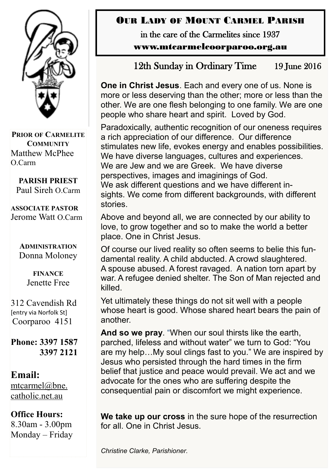

**PRIOR OF CARMELITE COMMUNITY** Matthew McPhee O.Carm

**PARISH PRIEST** Paul Sireh O.Carm

**ASSOCIATE PASTOR** Jerome Watt O.Carm

> **ADMINISTRATION** Donna Moloney

> > **FINANCE**  Jenette Free

312 Cavendish Rd [entry via Norfolk St] Coorparoo 4151

**Phone: 3397 1587 3397 2121**

#### **Email:** [mtcarmel@bne.](mailto:mtcarmel@bne.catholic.net.au)  [catholic.net.au](mailto:mtcarmel@bne.catholic.net.au)

# **Office Hours:**

8.30am - 3.00pm Monday – Friday

## OUR LADY OF MOUNT CARMEL PARISH

in the care of the Carmelites since 1937 www.mtcarmelcoorparoo.org.au

12th Sunday in Ordinary Time 19 June 2016

**One in Christ Jesus**. Each and every one of us. None is more or less deserving than the other; more or less than the other. We are one flesh belonging to one family. We are one people who share heart and spirit. Loved by God.

Paradoxically, authentic recognition of our oneness requires a rich appreciation of our difference. Our difference stimulates new life, evokes energy and enables possibilities. We have diverse languages, cultures and experiences. We are Jew and we are Greek. We have diverse perspectives, images and imaginings of God. We ask different questions and we have different insights. We come from different backgrounds, with different stories.

Above and beyond all, we are connected by our ability to love, to grow together and so to make the world a better place. One in Christ Jesus.

Of course our lived reality so often seems to belie this fundamental reality. A child abducted. A crowd slaughtered. A spouse abused. A forest ravaged. A nation torn apart by war. A refugee denied shelter. The Son of Man rejected and killed.

Yet ultimately these things do not sit well with a people whose heart is good. Whose shared heart bears the pain of another.

**And so we pray**. "When our soul thirsts like the earth, parched, lifeless and without water" we turn to God: "You are my help…My soul clings fast to you." We are inspired by Jesus who persisted through the hard times in the firm belief that justice and peace would prevail. We act and we advocate for the ones who are suffering despite the consequential pain or discomfort we might experience.

**We take up our cross** in the sure hope of the resurrection for all. One in Christ Jesus.

*Christine Clarke, Parishioner.*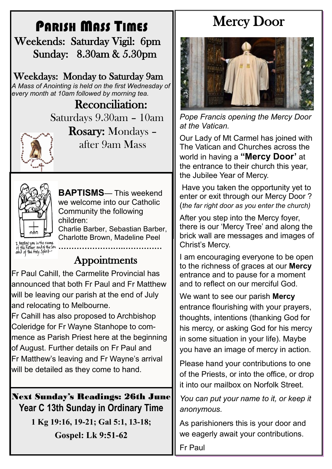# PARISH MASS TIMES

 Weekends: Saturday Vigil: 6pm Sunday: 8.30am & 5.30pm

Weekdays: Monday to Saturday 9am *A Mass of Anointing is held on the first Wednesday of every month at 10am followed by morning tea.*

> Reconciliation: Saturdays 9.30am – 10am



Rosary: Mondays – after 9am Mass



**BAPTISMS**— This weekend we welcome into our Catholic Community the following children:

Charlie Barber, Sebastian Barber, Charlotte Brown, Madeline Peel

**…………………….……………**

I baptize you in the name<br>of the Father and of the son<br>oond of the floly Spirit

# Appointments

Fr Paul Cahill, the Carmelite Provincial has announced that both Fr Paul and Fr Matthew will be leaving our parish at the end of July and relocating to Melbourne.

Fr Cahill has also proposed to Archbishop Coleridge for Fr Wayne Stanhope to commence as Parish Priest here at the beginning of August. Further details on Fr Paul and Fr Matthew's leaving and Fr Wayne's arrival will be detailed as they come to hand.

### Next Sunday's Readings: 26th June **Year C 13th Sunday in Ordinary Time**

**1 Kg 19:16, 19-21; Gal 5:1, 13-18; Gospel: Lk 9:51-62**

# Mercy Door



*Pope Francis opening the Mercy Door at the Vatican.*

Our Lady of Mt Carmel has joined with The Vatican and Churches across the world in having a **"Mercy Door'** at the entrance to their church this year, the Jubilee Year of Mercy.

Have you taken the opportunity yet to enter or exit through our Mercy Door ? (*the far right door as you enter the church)*

After you step into the Mercy foyer, there is our 'Mercy Tree' and along the brick wall are messages and images of Christ's Mercy.

I am encouraging everyone to be open to the richness of graces at our **Mercy**  entrance and to pause for a moment and to reflect on our merciful God.

We want to see our parish **Mercy**  entrance flourishing with your prayers, thoughts, intentions (thanking God for his mercy, or asking God for his mercy in some situation in your life). Maybe you have an image of mercy in action.

Please hand your contributions to one of the Priests, or into the office, or drop it into our mailbox on Norfolk Street.

*You can put your name to it, or keep it anonymous.*

As parishioners this is your door and we eagerly await your contributions.

Fr Paul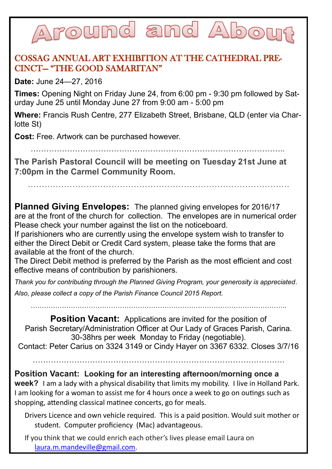### round and A  $\sqrt{0}$

#### COSSAG ANNUAL ART EXHIBITION AT THE CATHEDRAL PRE-CINCT— "THE GOOD SAMARITAN"

**Date:** June 24—27, 2016

**Times:** Opening Night on Friday June 24, from 6:00 pm - 9:30 pm followed by Saturday June 25 until Monday June 27 from 9:00 am - 5:00 pm

**Where:** Francis Rush Centre, 277 Elizabeth Street, Brisbane, QLD (enter via Charlotte St)

**Cost:** Free. Artwork can be purchased however.

……………………………………………………………………………………..

**The Parish Pastoral Council will be meeting on Tuesday 21st June at 7:00pm in the Carmel Community Room.**

………………………………………………………………………………….

**Planned Giving Envelopes:** The planned giving envelopes for 2016/17 are at the front of the church for collection. The envelopes are in numerical order Please check your number against the list on the noticeboard.

If parishioners who are currently using the envelope system wish to transfer to either the Direct Debit or Credit Card system, please take the forms that are available at the front of the church.

The Direct Debit method is preferred by the Parish as the most efficient and cost effective means of contribution by parishioners.

*Thank you for contributing through the Planned Giving Program, your generosity is appreciated. Also, please collect a copy of the Parish Finance Council 2015 Report.*

*…………………………………………………………………………………………………….*

**Position Vacant:** Applications are invited for the position of Parish Secretary/Administration Officer at Our Lady of Graces Parish, Carina. 30-38hrs per week Monday to Friday (negotiable). Contact: Peter Carius on 3324 3149 or Cindy Hayer on 3367 6332. Closes 3/7/16

…………………………………………………………………………………….

**Position Vacant: Looking for an interesting afternoon/morning once a week?** I am a lady with a physical disability that limits my mobility. I live in Holland Park. I am looking for a woman to assist me for 4 hours once a week to go on outings such as shopping, attending classical matinee concerts, go for meals.

Drivers Licence and own vehicle required. This is a paid position. Would suit mother or student. Computer proficiency (Mac) advantageous.

If you think that we could enrich each other's lives please email Laura on [laura.m.mandeville@gmail.com.](mailto:laura.m.mandeville@gmail.com)